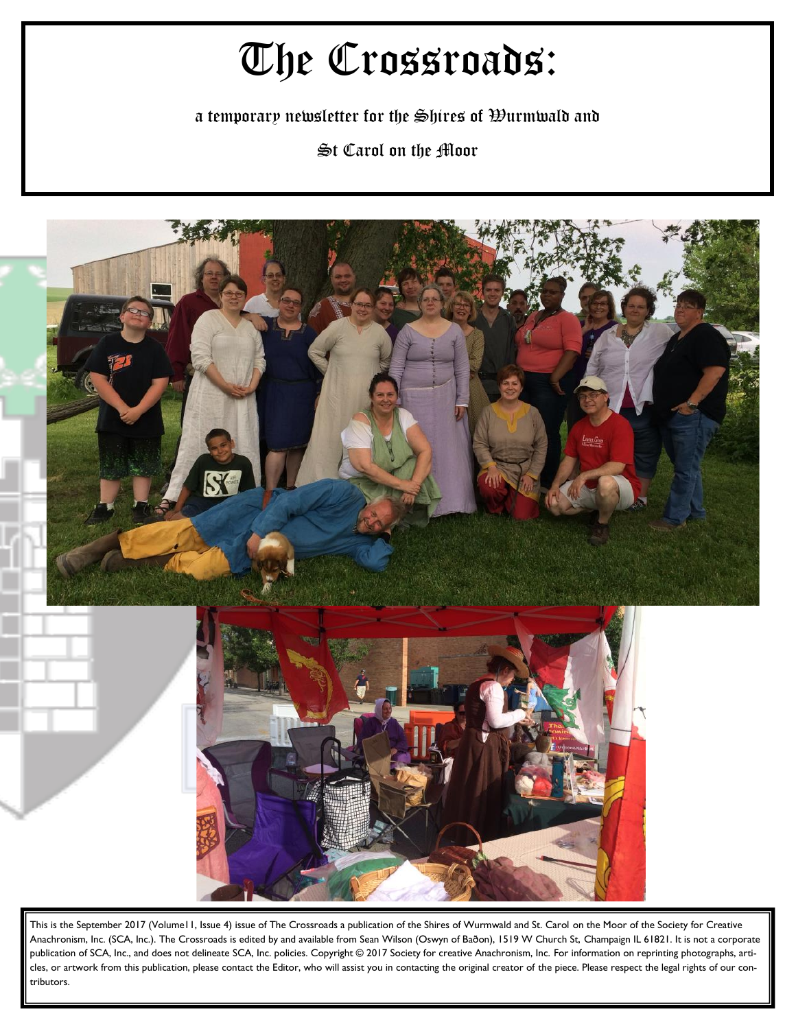# The Crossroads:

a temporary newsletter for the Shires of Wurmwald and

St Carol on the Moor



This is the September 2017 (Volume11, Issue 4) issue of The Crossroads a publication of the Shires of Wurmwald and St. Carol on the Moor of the Society for Creative Anachronism, Inc. (SCA, Inc.). The Crossroads is edited by and available from Sean Wilson (Oswyn of Baðon), 1519 W Church St, Champaign IL 61821. It is not a corporate publication of SCA, Inc., and does not delineate SCA, Inc. policies. Copyright © 2017 Society for creative Anachronism, Inc. For information on reprinting photographs, articles, or artwork from this publication, please contact the Editor, who will assist you in contacting the original creator of the piece. Please respect the legal rights of our contributors.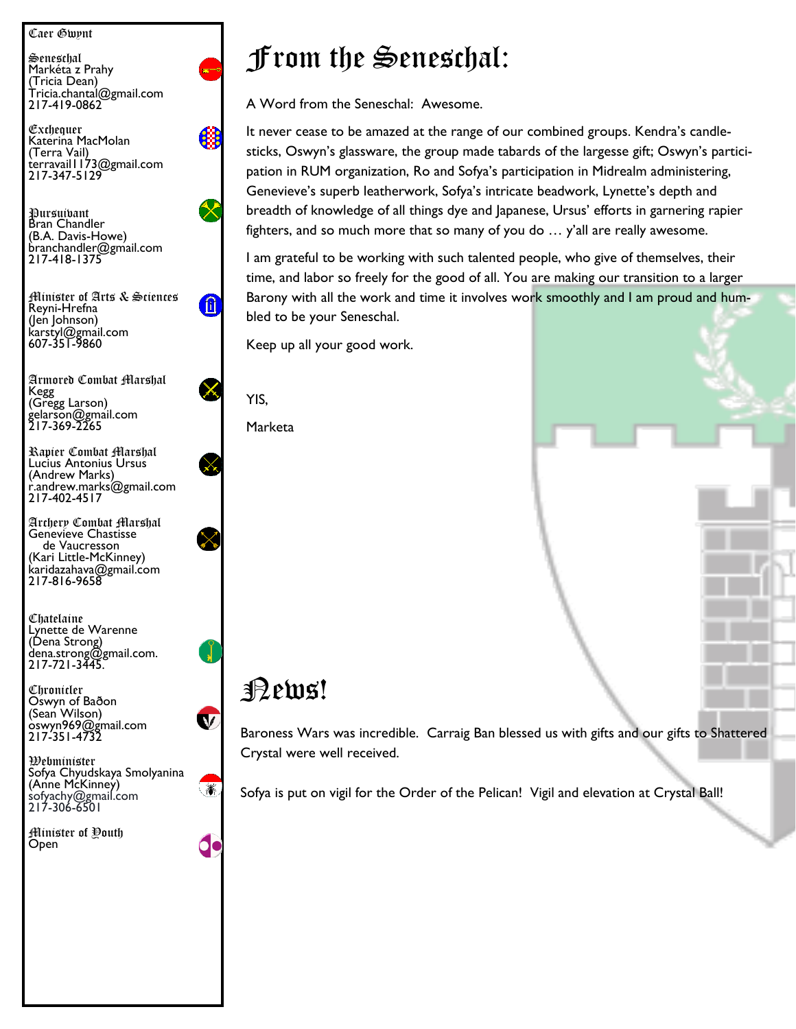Caer Gwynt

Seneschal Markéta z Prahy (Tricia Dean) Tricia.chantal@gmail.com 217-419-0862

Exchequer Katerina MacMolan (Terra Vail) terravail1173@gmail.com 217-347-5129

Pursuivant Bran Chandler (B.A. Davis-Howe) branchandler@gmail.com 217-418-1375

Minister of Arts & Sciences Reyni-Hrefna (Jen Johnson) karstyl@gmail.com 607-351-9860

Armored Combat Marshal Kegg (Gregg Larson) gelarson@gmail.com 217-369-2265

Rapier Combat Marshal Lucius Antonius Ursus (Andrew Marks) r.andrew.marks@gmail.com 217-402-4517

Archery Combat Marshal Genevieve Chastisse de Vaucresson (Kari Little-McKinney) karidazahava@gmail.com 217-816-9658

Chatelaine Lynette de Warenne (Dena Strong) dena.strong@gmail.com. 217-721-3445.

Chronicler Oswyn of Baðon (Sean Wilson) oswyn969@gmail.com 217-351-4732

Webminister Sofya Chyudskaya Smolyanina (Anne McKinney) sofyachy@gmail.com 217-306-6501

Minister of Youth Open



A Word from the Seneschal: Awesome.

It never cease to be amazed at the range of our combined groups. Kendra's candlesticks, Oswyn's glassware, the group made tabards of the largesse gift; Oswyn's participation in RUM organization, Ro and Sofya's participation in Midrealm administering, Genevieve's superb leatherwork, Sofya's intricate beadwork, Lynette's depth and breadth of knowledge of all things dye and Japanese, Ursus' efforts in garnering rapier fighters, and so much more that so many of you do … y'all are really awesome.

I am grateful to be working with such talented people, who give of themselves, their time, and labor so freely for the good of all. You are making our transition to a larger Barony with all the work and time it involves work smoothly and I am proud and humbled to be your Seneschal.

Keep up all your good work.

YIS,

Œ

Ш

Marketa

#### News!

 $\mathbf v$ 

X.

Baroness Wars was incredible. Carraig Ban blessed us with gifts and our gifts to Shattered Crystal were well received.

Sofya is put on vigil for the Order of the Pelican! Vigil and elevation at Crystal Ball!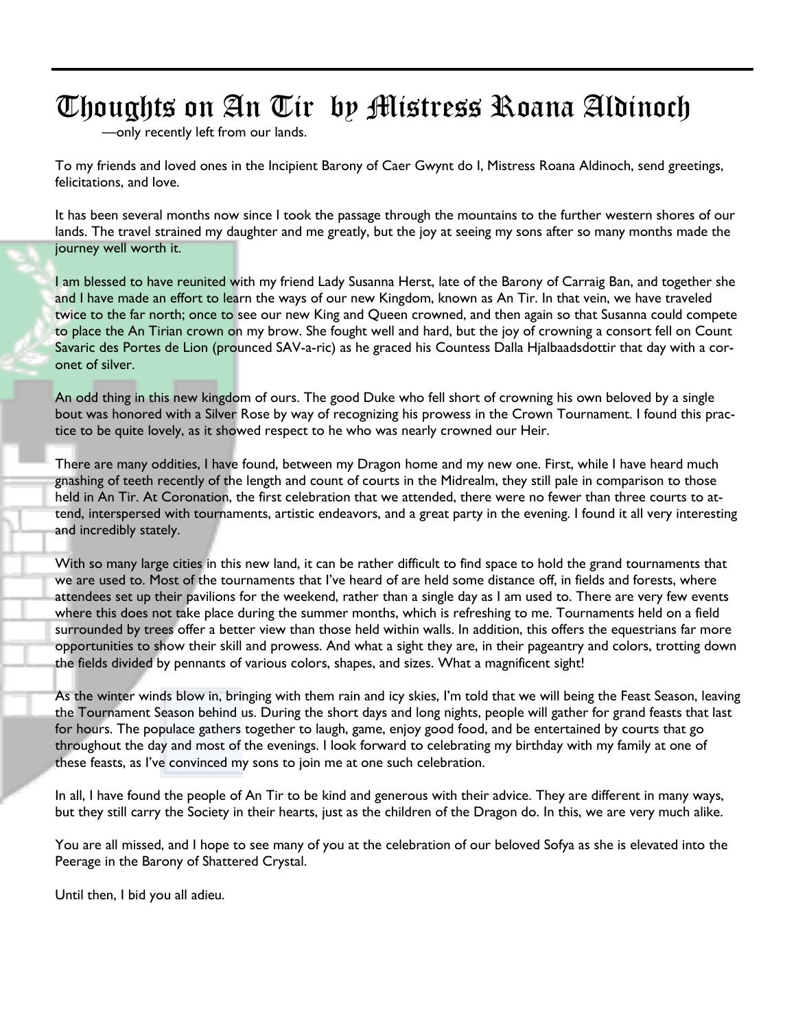# Thoughts on An Tir by Mistress Roana Aldinoch

—only recently left from our lands.

To my friends and loved ones in the Incipient Barony of Caer Gwynt do I, Mistress Roana Aldinoch, send greetings, felicitations, and love.

It has been several months now since I took the passage through the mountains to the further western shores of our lands. The travel strained my daughter and me greatly, but the joy at seeing my sons after so many months made the journey well worth it.

I am blessed to have reunited with my friend Lady Susanna Herst, late of the Barony of Carraig Ban, and together she and I have made an effort to learn the ways of our new Kingdom, known as An Tir. In that vein, we have traveled twice to the far north; once to see our new King and Queen crowned, and then again so that Susanna could compete to place the An Tirian crown on my brow. She fought well and hard, but the joy of crowning a consort fell on Count Savaric des Portes de Lion (prounced SAV-a-ric) as he graced his Countess Dalla Hjalbaadsdottir that day with a coronet of silver.

An odd thing in this new kingdom of ours. The good Duke who fell short of crowning his own beloved by a single bout was honored with a Silver Rose by way of recognizing his prowess in the Crown Tournament. I found this practice to be quite lovely, as it showed respect to he who was nearly crowned our Heir.

There are many oddities, I have found, between my Dragon home and my new one. First, while I have heard much gnashing of teeth recently of the length and count of courts in the Midrealm, they still pale in comparison to those held in An Tir. At Coronation, the first celebration that we attended, there were no fewer than three courts to attend, interspersed with tournaments, artistic endeavors, and a great party in the evening. I found it all very interesting and incredibly stately.

With so many large cities in this new land, it can be rather difficult to find space to hold the grand tournaments that we are used to. Most of the tournaments that I've heard of are held some distance off, in fields and forests, where attendees set up their pavilions for the weekend, rather than a single day as I am used to. There are very few events where this does not take place during the summer months, which is refreshing to me. Tournaments held on a field surrounded by trees offer a better view than those held within walls. In addition, this offers the equestrians far more opportunities to show their skill and prowess. And what a sight they are, in their pageantry and colors, trotting down the fields divided by pennants of various colors, shapes, and sizes. What a magnificent sight!

As the winter winds blow in, bringing with them rain and icy skies, I'm told that we will being the Feast Season, leaving the Tournament Season behind us. During the short days and long nights, people will gather for grand feasts that last for hours. The populace gathers together to laugh, game, enjoy good food, and be entertained by courts that go throughout the day and most of the evenings. I look forward to celebrating my birthday with my family at one of these feasts, as I've convinced my sons to join me at one such celebration.

In all, I have found the people of An Tir to be kind and generous with their advice. They are different in many ways, but they still carry the Society in their hearts, just as the children of the Dragon do. In this, we are very much alike.

You are all missed, and I hope to see many of you at the celebration of our beloved Sofya as she is elevated into the Peerage in the Barony of Shattered Crystal.

Until then, I bid you all adieu.